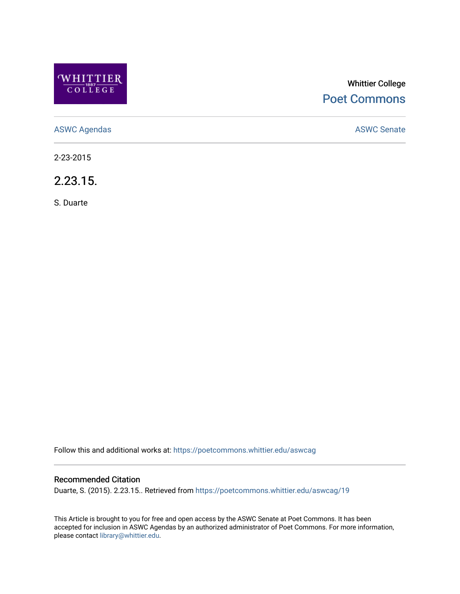

# Whittier College [Poet Commons](https://poetcommons.whittier.edu/)

[ASWC Agendas](https://poetcommons.whittier.edu/aswcag) **ASWC Senate** 

2-23-2015

2.23.15.

S. Duarte

Follow this and additional works at: [https://poetcommons.whittier.edu/aswcag](https://poetcommons.whittier.edu/aswcag?utm_source=poetcommons.whittier.edu%2Faswcag%2F19&utm_medium=PDF&utm_campaign=PDFCoverPages) 

# Recommended Citation

Duarte, S. (2015). 2.23.15.. Retrieved from [https://poetcommons.whittier.edu/aswcag/19](https://poetcommons.whittier.edu/aswcag/19?utm_source=poetcommons.whittier.edu%2Faswcag%2F19&utm_medium=PDF&utm_campaign=PDFCoverPages) 

This Article is brought to you for free and open access by the ASWC Senate at Poet Commons. It has been accepted for inclusion in ASWC Agendas by an authorized administrator of Poet Commons. For more information, please contact [library@whittier.edu](mailto:library@whittier.edu).